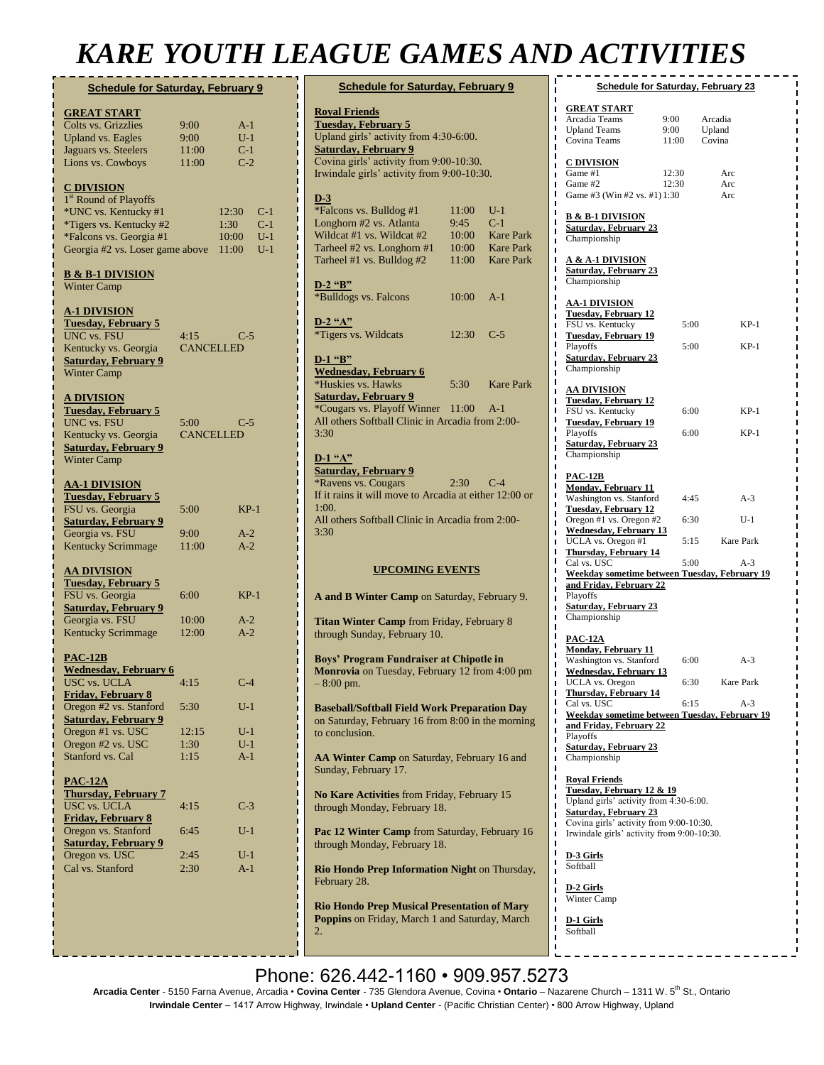## *KARE YOUTH LEAGUE GAMES AND ACTIVITIES*

| <b>Schedule for Saturday, February 9</b>                                                                                                                                                                                  |                                       |                                                                   |
|---------------------------------------------------------------------------------------------------------------------------------------------------------------------------------------------------------------------------|---------------------------------------|-------------------------------------------------------------------|
| <b>GREAT START</b><br>Colts vs. Grizzlies<br><b>Upland vs. Eagles</b><br>Jaguars vs. Steelers<br>Lions vs. Cowboys                                                                                                        | 9:00<br>9:00<br>11:00<br>11:00        | $A-1$<br>$U-1$<br>$C-1$<br>$C-2$                                  |
| <u>C DIVISION</u><br>1 <sup>st</sup> Round of Playoffs<br>*UNC vs. Kentucky #1<br>*Tigers vs. Kentucky #2<br>*Falcons vs. Georgia #1<br>Georgia #2 vs. Loser game above                                                   |                                       | $C-1$<br>12:30<br>$C-1$<br>1:30<br>$U-1$<br>10:00<br>11:00<br>U-1 |
| <u>B &amp; B-1 DIVISION</u><br><b>Winter Camp</b>                                                                                                                                                                         |                                       |                                                                   |
| <u>A-1 DIVISION</u><br><b>Tuesday, February 5</b><br>UNC vs. FSU<br>Kentucky vs. Georgia<br><b>Saturday, February 9</b><br><b>Winter Camp</b>                                                                             | 4:15<br><b>CANCELLED</b>              | $C-5$                                                             |
| <u>A DIVISION</u><br><b>Tuesday, February 5</b><br>UNC vs. FSU<br>Kentucky vs. Georgia<br><b>Saturday, February 9</b><br><b>Winter Camp</b>                                                                               | 5:00<br><b>CANCELLED</b>              | C-5                                                               |
| <u>AA-1 DIVISION</u><br><b>Tuesday, February 5</b><br>FSU vs. Georgia<br><b>Saturday, February 9</b><br>Georgia vs. FSU                                                                                                   | 5:00<br>9:00                          | $KP-1$<br>$A-2$                                                   |
| <b>Kentucky Scrimmage</b><br><u>AA DIVISION</u><br><b>Tuesday, February 5</b><br>FSU vs. Georgia<br><b>Saturday, February 9</b><br>Georgia vs. FSU<br><b>Kentucky Scrimmage</b>                                           | 11:00<br>6:00<br>10:00<br>12:00       | $A-2$<br>$KP-1$<br>$A-2$<br>$A-2$                                 |
| <b>PAC-12B</b><br><b>Wednesday, February 6</b><br><b>USC vs. UCLA</b><br><b>Friday, February 8</b><br>Oregon #2 vs. Stanford<br><b>Saturday, February 9</b><br>Oregon #1 vs. USC<br>Oregon #2 vs. USC<br>Stanford vs. Cal | 4:15<br>5:30<br>12:15<br>1:30<br>1:15 | $C-4$<br>$U-1$<br>$U-1$<br>$U-1$<br>$A-1$                         |
| $PAC-12A$<br><b>Thursday, February 7</b><br><b>USC vs. UCLA</b><br><b>Friday, February 8</b><br>Oregon vs. Stanford<br><b>Saturday, February 9</b><br>Oregon vs. USC<br>Cal vs. Stanford                                  | 4:15<br>6:45<br>2:45<br>2:30          | $C-3$<br>$U-1$<br>$U-1$<br>$A-1$                                  |
|                                                                                                                                                                                                                           |                                       |                                                                   |

| <b>Schedule for Saturday, February 9</b>                                                                                                                                                                             |                                          |                                                                            |  |  |
|----------------------------------------------------------------------------------------------------------------------------------------------------------------------------------------------------------------------|------------------------------------------|----------------------------------------------------------------------------|--|--|
| <b>Royal Friends</b><br><b>Tuesday, February 5</b><br>Upland girls' activity from 4:30-6:00.<br><b>Saturday, February 9</b><br>Covina girls' activity from 9:00-10:30.<br>Irwindale girls' activity from 9:00-10:30. |                                          |                                                                            |  |  |
| $D-3$<br>*Falcons vs. Bulldog #1<br>Longhorn #2 vs. Atlanta<br>Wildcat #1 vs. Wildcat #2<br>Tarheel #2 vs. Longhorn #1<br>Tarheel #1 vs. Bulldog #2                                                                  | 11:00<br>9:45<br>10:00<br>10:00<br>11:00 | $U-1$<br>$C-1$<br><b>Kare Park</b><br><b>Kare Park</b><br><b>Kare Park</b> |  |  |
| D-2 "B"<br>*Bulldogs vs. Falcons                                                                                                                                                                                     | 10:00                                    | $A-1$                                                                      |  |  |
| $D-2$ "A"<br>*Tigers vs. Wildcats                                                                                                                                                                                    | 12:30                                    | $C-5$                                                                      |  |  |
| D-1 "B"<br><b>Wednesday, February 6</b><br>*Huskies vs. Hawks<br><b>Saturday, February 9</b><br>*Cougars vs. Playoff Winner 11:00 A-1<br>All others Softball Clinic in Arcadia from 2:00-<br>3:30                    | 5:30                                     | <b>Kare Park</b>                                                           |  |  |
| D-1 "A"<br><b>Saturday, February 9</b><br><i>*Ravens vs. Cougars</i><br>If it rains it will move to Arcadia at either 12:00 or<br>1:00.<br>All others Softball Clinic in Arcadia from 2:00-<br>3:30                  | 2:30                                     | $C-4$                                                                      |  |  |
| <b>UPCOMING EVENTS</b>                                                                                                                                                                                               |                                          |                                                                            |  |  |
| A and B Winter Camp on Saturday, February 9.                                                                                                                                                                         |                                          |                                                                            |  |  |
| Titan Winter Camp from Friday, February 8<br>through Sunday, February 10.                                                                                                                                            |                                          |                                                                            |  |  |
| Boys' Program Fundraiser at Chipotle in<br>Monrovia on Tuesday, February 12 from 4:00 pm<br>$-8:00$ pm.                                                                                                              |                                          |                                                                            |  |  |
| <b>Baseball/Softball Field Work Preparation Day</b><br>on Saturday, February 16 from 8:00 in the morning<br>to conclusion.                                                                                           |                                          |                                                                            |  |  |
| AA Winter Camp on Saturday, February 16 and<br>Sunday, February 17.                                                                                                                                                  |                                          |                                                                            |  |  |
| No Kare Activities from Friday, February 15<br>through Monday, February 18.                                                                                                                                          |                                          |                                                                            |  |  |
| Pac 12 Winter Camp from Saturday, February 16<br>through Monday, February 18.                                                                                                                                        |                                          |                                                                            |  |  |
| Rio Hondo Prep Information Night on Thursday,<br>February 28.                                                                                                                                                        |                                          |                                                                            |  |  |
| <b>Rio Hondo Pren Musical Presentation of Mary</b>                                                                                                                                                                   |                                          |                                                                            |  |  |

**Rio Hondo Prep Musical Presentation of Mary Poppins** on Friday, March 1 and Saturday, March 2.

**Baseball/Softball Opening Ceremony Festivities** 

| <b>Schedule for Saturday, February 23</b>                                                                                                                                                                                                                                                                                                                                               |                              |                             |                                  |  |  |  |
|-----------------------------------------------------------------------------------------------------------------------------------------------------------------------------------------------------------------------------------------------------------------------------------------------------------------------------------------------------------------------------------------|------------------------------|-----------------------------|----------------------------------|--|--|--|
| <u>GREAT START</u><br>Arcadia Teams<br><b>Upland Teams</b><br>Covina Teams                                                                                                                                                                                                                                                                                                              | 9:00<br>9:00<br>11:00        | Arcadia<br>Upland<br>Covina |                                  |  |  |  |
| <u>C DIVISION</u><br>Game #1<br>Game #2<br>Game #3 (Win #2 vs. #1) 1:30                                                                                                                                                                                                                                                                                                                 | 12:30<br>12:30               | Arc<br>Arc<br>Arc           |                                  |  |  |  |
| <u>B &amp; B-1 DIVISION</u><br><b>Saturday, February 23</b><br>Championship                                                                                                                                                                                                                                                                                                             |                              |                             |                                  |  |  |  |
| <u>A &amp; A-1 DIVISION</u><br><b>Saturday, February 23</b><br>Championship                                                                                                                                                                                                                                                                                                             |                              |                             |                                  |  |  |  |
| <u>AA-1 DIVISION</u><br><b>Tuesday, February 12</b><br>FSU vs. Kentucky<br><u>Tuesday, February 19</u><br>Playoffs<br><b>Saturday, February 23</b><br>Championship                                                                                                                                                                                                                      | 5:00<br>5:00                 |                             | KP-1<br>$KP-1$                   |  |  |  |
| AA DIVISION<br><b>Tuesday, February 12</b><br>FSU vs. Kentucky<br><b>Tuesday, February 19</b><br>Playoffs<br><b>Saturday, February 23</b><br>Championship                                                                                                                                                                                                                               | 6:00<br>6:00                 |                             | KP-1<br>$KP-1$                   |  |  |  |
| <b>PAC-12B</b><br><u> Monday, February 11</u><br>Washington vs. Stanford<br><b>Tuesday, February 12</b><br>Oregon #1 vs. Oregon #2<br><b>Wednesday, February 13</b><br>UCLA vs. Oregon #1<br><b>Thursday, February 14</b><br>Cal vs. USC<br><b>Weekday sometime between Tuesday, February 19</b><br>and Friday, February 22<br>Playoffs<br><b>Saturday, February 23</b><br>Championship | 4:45<br>6:30<br>5:15<br>5:00 |                             | A-3<br>$U-1$<br>Kare Park<br>A-3 |  |  |  |
| <u>PAC-12A</u><br><u> Monday, February 11</u><br>Washington vs. Stanford<br><u>Wednesday, February 13</u><br>UCLA vs. Oregon<br><b>Thursday, February 14</b><br>Cal vs. USC<br>Weekday sometime between Tuesday, February 19<br>and Friday, February 22<br>Playoffs<br><b>Saturday, February 23</b><br>Championship                                                                     | 6:00<br>6:30<br>6:15         |                             | $A-3$<br>Kare Park<br>A-3        |  |  |  |
| <u> Roval Friends</u><br>Tuesday, February 12 & 19<br>Upland girls' activity from 4:30-6:00.<br><b>Saturday, February 23</b><br>Covina girls' activity from 9:00-10:30.<br>Irwindale girls' activity from 9:00-10:30.                                                                                                                                                                   |                              |                             |                                  |  |  |  |

**D-3 Girls** Softball

**D-2 Girls** Winter Camp

**D-1 Girls** Softball

Phone: 626.442-1160 · 909.957.5273

**Arcadia Center** - 5150 Farna Avenue, Arcadia • **Covina Center** - 735 Glendora Avenue, Covina • **Ontario** – Nazarene Church – 1311 W. 5<sup>th</sup> St., Ontario **Irwindale Center** – 1417 Arrow Highway, Irwindale • **Upland Center** - (Pacific Christian Center) • 800 Arrow Highway, Upland